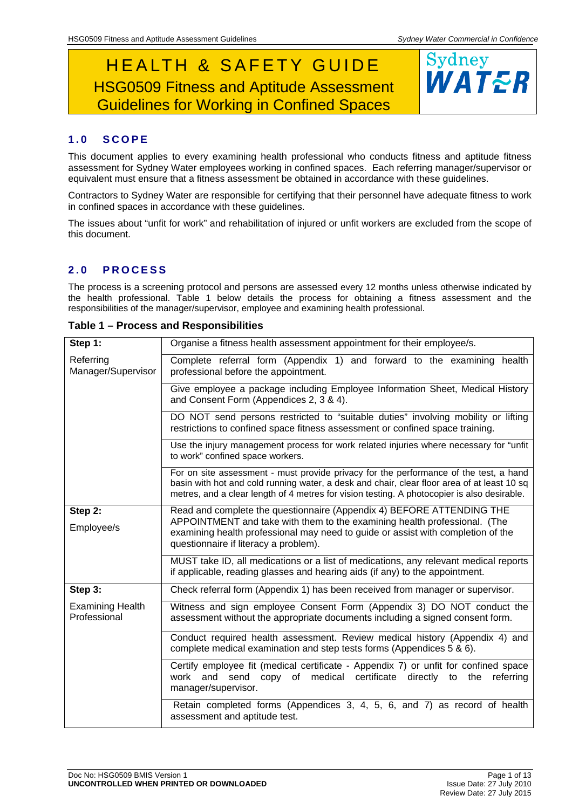# HEALTH & SAFETY GUIDE HSG0509 Fitness and Aptitude Assessment Guidelines for Working in Confined Spaces



### **1.0 SCOPE**

This document applies to every examining health professional who conducts fitness and aptitude fitness assessment for Sydney Water employees working in confined spaces. Each referring manager/supervisor or equivalent must ensure that a fitness assessment be obtained in accordance with these guidelines.

Contractors to Sydney Water are responsible for certifying that their personnel have adequate fitness to work in confined spaces in accordance with these guidelines.

The issues about "unfit for work" and rehabilitation of injured or unfit workers are excluded from the scope of this document.

### **2.0 PROCESS**

The process is a screening protocol and persons are assessed every 12 months unless otherwise indicated by the health professional. Table 1 below details the process for obtaining a fitness assessment and the responsibilities of the manager/supervisor, employee and examining health professional.

| Step 1:                                 | Organise a fitness health assessment appointment for their employee/s.                                                                                                                                                                                                              |  |  |  |  |  |  |
|-----------------------------------------|-------------------------------------------------------------------------------------------------------------------------------------------------------------------------------------------------------------------------------------------------------------------------------------|--|--|--|--|--|--|
| Referring<br>Manager/Supervisor         | Complete referral form (Appendix 1) and forward to the examining health<br>professional before the appointment.                                                                                                                                                                     |  |  |  |  |  |  |
|                                         | Give employee a package including Employee Information Sheet, Medical History<br>and Consent Form (Appendices 2, 3 & 4).                                                                                                                                                            |  |  |  |  |  |  |
|                                         | DO NOT send persons restricted to "suitable duties" involving mobility or lifting<br>restrictions to confined space fitness assessment or confined space training.                                                                                                                  |  |  |  |  |  |  |
|                                         | Use the injury management process for work related injuries where necessary for "unfit<br>to work" confined space workers.                                                                                                                                                          |  |  |  |  |  |  |
|                                         | For on site assessment - must provide privacy for the performance of the test, a hand<br>basin with hot and cold running water, a desk and chair, clear floor area of at least 10 sq<br>metres, and a clear length of 4 metres for vision testing. A photocopier is also desirable. |  |  |  |  |  |  |
| Step 2:                                 | Read and complete the questionnaire (Appendix 4) BEFORE ATTENDING THE                                                                                                                                                                                                               |  |  |  |  |  |  |
| Employee/s                              | APPOINTMENT and take with them to the examining health professional. (The<br>examining health professional may need to guide or assist with completion of the<br>questionnaire if literacy a problem).                                                                              |  |  |  |  |  |  |
|                                         | MUST take ID, all medications or a list of medications, any relevant medical reports<br>if applicable, reading glasses and hearing aids (if any) to the appointment.                                                                                                                |  |  |  |  |  |  |
| Step 3:                                 | Check referral form (Appendix 1) has been received from manager or supervisor.                                                                                                                                                                                                      |  |  |  |  |  |  |
| <b>Examining Health</b><br>Professional | Witness and sign employee Consent Form (Appendix 3) DO NOT conduct the<br>assessment without the appropriate documents including a signed consent form.                                                                                                                             |  |  |  |  |  |  |
|                                         | Conduct required health assessment. Review medical history (Appendix 4) and<br>complete medical examination and step tests forms (Appendices 5 & 6).                                                                                                                                |  |  |  |  |  |  |
|                                         | Certify employee fit (medical certificate - Appendix 7) or unfit for confined space<br>work and send copy of medical certificate directly to the<br>referring<br>manager/supervisor.                                                                                                |  |  |  |  |  |  |
|                                         | Retain completed forms (Appendices 3, 4, 5, 6, and 7) as record of health<br>assessment and aptitude test.                                                                                                                                                                          |  |  |  |  |  |  |

**Table 1 – Process and Responsibilities**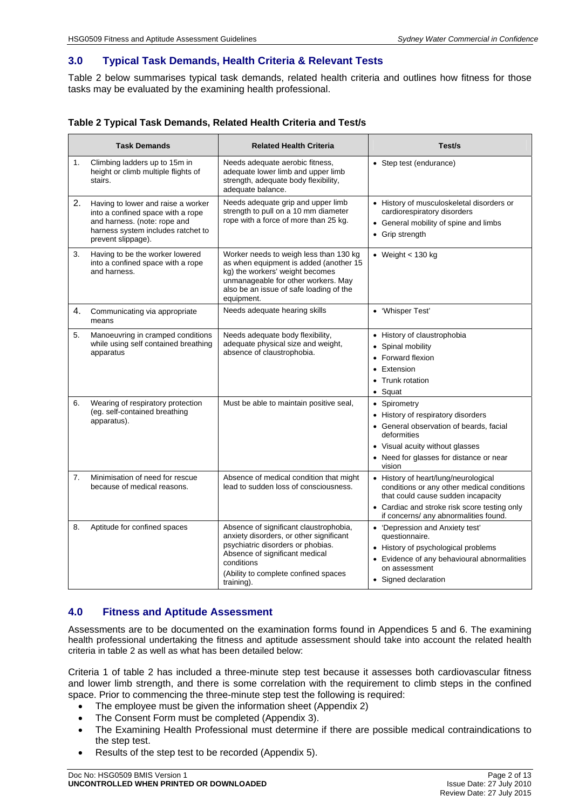### **3.0 Typical Task Demands, Health Criteria & Relevant Tests**

Table 2 below summarises typical task demands, related health criteria and outlines how fitness for those tasks may be evaluated by the examining health professional.

| Table 2 Typical Task Demands, Related Health Criteria and Test/s |  |  |
|------------------------------------------------------------------|--|--|
|------------------------------------------------------------------|--|--|

| <b>Task Demands</b> |                                                                                                                                                                     | <b>Related Health Criteria</b>                                                                                                                                                                                               | Test/s                                                                                                                                                                                                            |  |  |
|---------------------|---------------------------------------------------------------------------------------------------------------------------------------------------------------------|------------------------------------------------------------------------------------------------------------------------------------------------------------------------------------------------------------------------------|-------------------------------------------------------------------------------------------------------------------------------------------------------------------------------------------------------------------|--|--|
| 1.                  | Climbing ladders up to 15m in<br>height or climb multiple flights of<br>stairs.                                                                                     | Needs adequate aerobic fitness,<br>adequate lower limb and upper limb<br>strength, adequate body flexibility,<br>adequate balance.                                                                                           | • Step test (endurance)                                                                                                                                                                                           |  |  |
| 2.                  | Having to lower and raise a worker<br>into a confined space with a rope<br>and harness. (note: rope and<br>harness system includes ratchet to<br>prevent slippage). | Needs adequate grip and upper limb<br>strength to pull on a 10 mm diameter<br>rope with a force of more than 25 kg.                                                                                                          | • History of musculoskeletal disorders or<br>cardiorespiratory disorders<br>• General mobility of spine and limbs<br>• Grip strength                                                                              |  |  |
| 3.                  | Having to be the worker lowered<br>into a confined space with a rope<br>and harness.                                                                                | Worker needs to weigh less than 130 kg<br>as when equipment is added (another 15<br>kg) the workers' weight becomes<br>unmanageable for other workers. May<br>also be an issue of safe loading of the<br>equipment.          | • Weight $<$ 130 kg                                                                                                                                                                                               |  |  |
| 4.                  | Communicating via appropriate<br>means                                                                                                                              | Needs adequate hearing skills                                                                                                                                                                                                | • 'Whisper Test'                                                                                                                                                                                                  |  |  |
| 5.                  | Manoeuvring in cramped conditions<br>while using self contained breathing<br>apparatus                                                                              | Needs adequate body flexibility,<br>adequate physical size and weight,<br>absence of claustrophobia.                                                                                                                         | • History of claustrophobia<br>Spinal mobility<br>$\bullet$<br>• Forward flexion<br>• Extension<br>• Trunk rotation<br>• Squat                                                                                    |  |  |
| 6.                  | Wearing of respiratory protection<br>(eg. self-contained breathing<br>apparatus).                                                                                   | Must be able to maintain positive seal,                                                                                                                                                                                      | • Spirometry<br>• History of respiratory disorders<br>• General observation of beards, facial<br>deformities<br>• Visual acuity without glasses<br>• Need for glasses for distance or near<br>vision              |  |  |
| 7.                  | Minimisation of need for rescue<br>because of medical reasons.                                                                                                      | Absence of medical condition that might<br>lead to sudden loss of consciousness.                                                                                                                                             | • History of heart/lung/neurological<br>conditions or any other medical conditions<br>that could cause sudden incapacity<br>• Cardiac and stroke risk score testing only<br>if concerns/ any abnormalities found. |  |  |
| 8.                  | Aptitude for confined spaces                                                                                                                                        | Absence of significant claustrophobia,<br>anxiety disorders, or other significant<br>psychiatric disorders or phobias.<br>Absence of significant medical<br>conditions<br>(Ability to complete confined spaces<br>training). | • 'Depression and Anxiety test'<br>questionnaire.<br>• History of psychological problems<br>• Evidence of any behavioural abnormalities<br>on assessment<br>• Signed declaration                                  |  |  |

### **4.0 Fitness and Aptitude Assessment**

Assessments are to be documented on the examination forms found in Appendices 5 and 6. The examining health professional undertaking the fitness and aptitude assessment should take into account the related health criteria in table 2 as well as what has been detailed below:

Criteria 1 of table 2 has included a three-minute step test because it assesses both cardiovascular fitness and lower limb strength, and there is some correlation with the requirement to climb steps in the confined space. Prior to commencing the three-minute step test the following is required:

- The employee must be given the information sheet (Appendix 2)
- The Consent Form must be completed (Appendix 3).
- The Examining Health Professional must determine if there are possible medical contraindications to the step test.
- Results of the step test to be recorded (Appendix 5).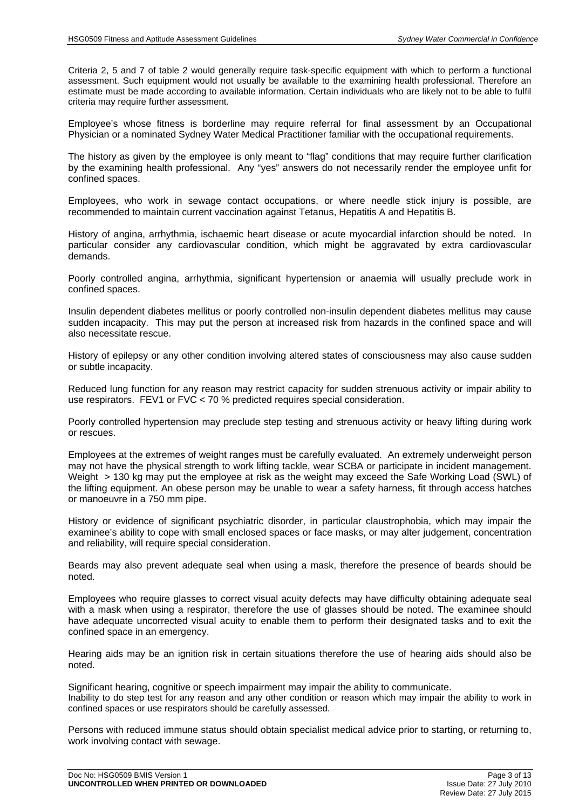Criteria 2, 5 and 7 of table 2 would generally require task-specific equipment with which to perform a functional assessment. Such equipment would not usually be available to the examining health professional. Therefore an estimate must be made according to available information. Certain individuals who are likely not to be able to fulfil criteria may require further assessment.

Employee's whose fitness is borderline may require referral for final assessment by an Occupational Physician or a nominated Sydney Water Medical Practitioner familiar with the occupational requirements.

The history as given by the employee is only meant to "flag" conditions that may require further clarification by the examining health professional. Any "yes" answers do not necessarily render the employee unfit for confined spaces.

Employees, who work in sewage contact occupations, or where needle stick injury is possible, are recommended to maintain current vaccination against Tetanus, Hepatitis A and Hepatitis B.

History of angina, arrhythmia, ischaemic heart disease or acute myocardial infarction should be noted. In particular consider any cardiovascular condition, which might be aggravated by extra cardiovascular demands.

Poorly controlled angina, arrhythmia, significant hypertension or anaemia will usually preclude work in confined spaces.

Insulin dependent diabetes mellitus or poorly controlled non-insulin dependent diabetes mellitus may cause sudden incapacity. This may put the person at increased risk from hazards in the confined space and will also necessitate rescue.

History of epilepsy or any other condition involving altered states of consciousness may also cause sudden or subtle incapacity.

Reduced lung function for any reason may restrict capacity for sudden strenuous activity or impair ability to use respirators. FEV1 or FVC < 70 % predicted requires special consideration.

Poorly controlled hypertension may preclude step testing and strenuous activity or heavy lifting during work or rescues.

Employees at the extremes of weight ranges must be carefully evaluated. An extremely underweight person may not have the physical strength to work lifting tackle, wear SCBA or participate in incident management. Weight > 130 kg may put the employee at risk as the weight may exceed the Safe Working Load (SWL) of the lifting equipment. An obese person may be unable to wear a safety harness, fit through access hatches or manoeuvre in a 750 mm pipe.

History or evidence of significant psychiatric disorder, in particular claustrophobia, which may impair the examinee's ability to cope with small enclosed spaces or face masks, or may alter judgement, concentration and reliability, will require special consideration.

Beards may also prevent adequate seal when using a mask, therefore the presence of beards should be noted.

Employees who require glasses to correct visual acuity defects may have difficulty obtaining adequate seal with a mask when using a respirator, therefore the use of glasses should be noted. The examinee should have adequate uncorrected visual acuity to enable them to perform their designated tasks and to exit the confined space in an emergency.

Hearing aids may be an ignition risk in certain situations therefore the use of hearing aids should also be noted.

Significant hearing, cognitive or speech impairment may impair the ability to communicate. Inability to do step test for any reason and any other condition or reason which may impair the ability to work in confined spaces or use respirators should be carefully assessed.

Persons with reduced immune status should obtain specialist medical advice prior to starting, or returning to, work involving contact with sewage.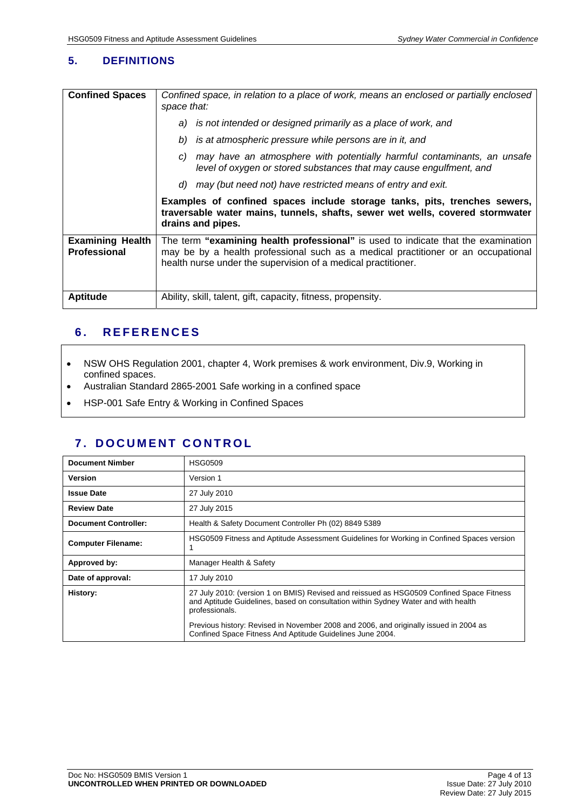### **5. DEFINITIONS**

| <b>Confined Spaces</b>                         | Confined space, in relation to a place of work, means an enclosed or partially enclosed<br>space that:                                                                                                                                  |  |  |  |  |
|------------------------------------------------|-----------------------------------------------------------------------------------------------------------------------------------------------------------------------------------------------------------------------------------------|--|--|--|--|
|                                                | a) is not intended or designed primarily as a place of work, and                                                                                                                                                                        |  |  |  |  |
|                                                | is at atmospheric pressure while persons are in it, and<br>b)                                                                                                                                                                           |  |  |  |  |
|                                                | may have an atmosphere with potentially harmful contaminants, an unsafe<br>C)<br>level of oxygen or stored substances that may cause engulfment, and                                                                                    |  |  |  |  |
|                                                | d) may (but need not) have restricted means of entry and exit.                                                                                                                                                                          |  |  |  |  |
|                                                | Examples of confined spaces include storage tanks, pits, trenches sewers,<br>traversable water mains, tunnels, shafts, sewer wet wells, covered stormwater<br>drains and pipes.                                                         |  |  |  |  |
| <b>Examining Health</b><br><b>Professional</b> | The term "examining health professional" is used to indicate that the examination<br>may be by a health professional such as a medical practitioner or an occupational<br>health nurse under the supervision of a medical practitioner. |  |  |  |  |
| <b>Aptitude</b>                                | Ability, skill, talent, gift, capacity, fitness, propensity.                                                                                                                                                                            |  |  |  |  |

### **6. REFERENCES**

- NSW OHS Regulation 2001, chapter 4, Work premises & work environment, Div.9, Working in confined spaces.
- Australian Standard 2865-2001 Safe working in a confined space
- HSP-001 Safe Entry & Working in Confined Spaces

### **7. DOCUMENT CONTROL**

| <b>Document Nimber</b>      | <b>HSG0509</b>                                                                                                                                                                                   |
|-----------------------------|--------------------------------------------------------------------------------------------------------------------------------------------------------------------------------------------------|
| Version                     | Version 1                                                                                                                                                                                        |
| <b>Issue Date</b>           | 27 July 2010                                                                                                                                                                                     |
| <b>Review Date</b>          | 27 July 2015                                                                                                                                                                                     |
| <b>Document Controller:</b> | Health & Safety Document Controller Ph (02) 8849 5389                                                                                                                                            |
| <b>Computer Filename:</b>   | HSG0509 Fitness and Aptitude Assessment Guidelines for Working in Confined Spaces version                                                                                                        |
| Approved by:                | Manager Health & Safety                                                                                                                                                                          |
| Date of approval:           | 17 July 2010                                                                                                                                                                                     |
| History:                    | 27 July 2010: (version 1 on BMIS) Revised and reissued as HSG0509 Confined Space Fitness<br>and Aptitude Guidelines, based on consultation within Sydney Water and with health<br>professionals. |
|                             | Previous history: Revised in November 2008 and 2006, and originally issued in 2004 as<br>Confined Space Fitness And Aptitude Guidelines June 2004.                                               |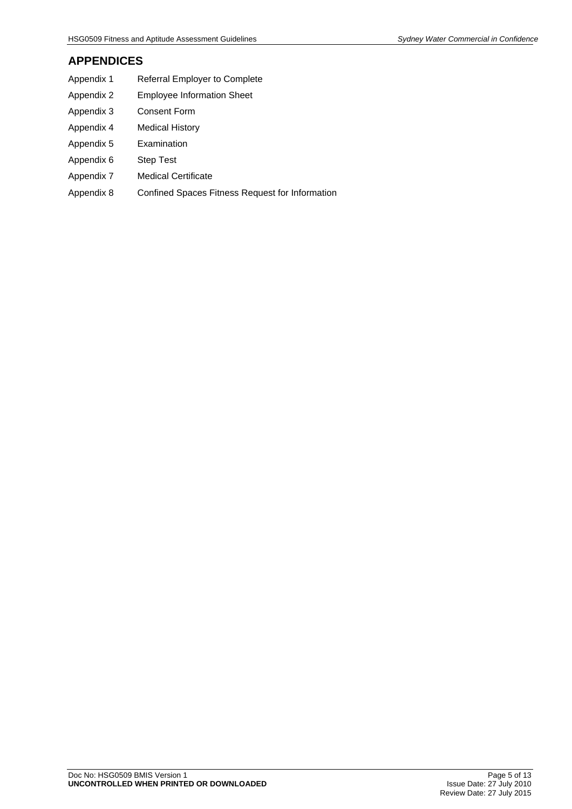### **APPENDICES**

- Appendix 1 Referral Employer to Complete
- Appendix 2 Employee Information Sheet
- Appendix 3 Consent Form
- Appendix 4 Medical History
- Appendix 5 Examination
- Appendix 6 Step Test
- Appendix 7 Medical Certificate
- Appendix 8 Confined Spaces Fitness Request for Information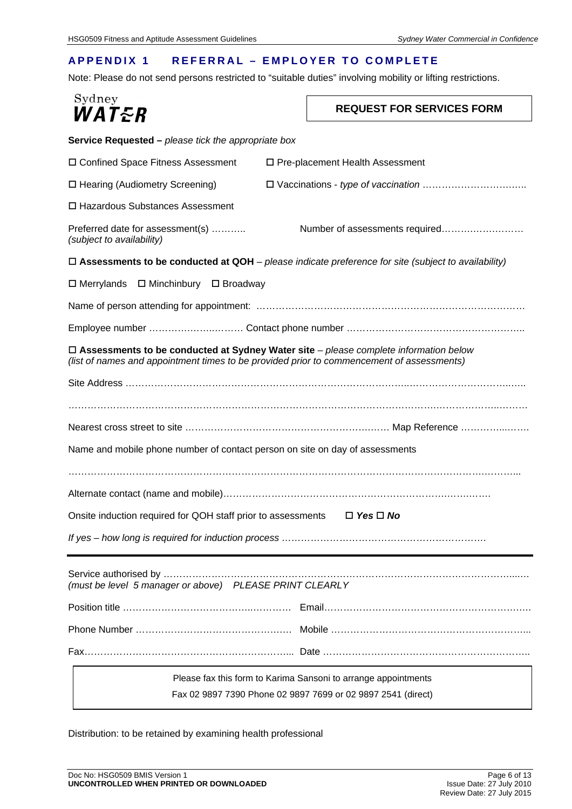### **APPENDIX 1 REFERRAL – EMPLOYER TO COMPLETE**

Note: Please do not send persons restricted to "suitable duties" involving mobility or lifting restrictions.

| Sydney           |  |  |
|------------------|--|--|
| <i>WAT&amp;R</i> |  |  |

### **REQUEST FOR SERVICES FORM**

| Service Requested - please tick the appropriate box                                                                                                                                      |  |  |  |  |  |  |
|------------------------------------------------------------------------------------------------------------------------------------------------------------------------------------------|--|--|--|--|--|--|
| □ Confined Space Fitness Assessment<br>□ Pre-placement Health Assessment                                                                                                                 |  |  |  |  |  |  |
| □ Hearing (Audiometry Screening)                                                                                                                                                         |  |  |  |  |  |  |
| □ Hazardous Substances Assessment                                                                                                                                                        |  |  |  |  |  |  |
| Preferred date for assessment(s)<br>(subject to availability)                                                                                                                            |  |  |  |  |  |  |
| $\Box$ Assessments to be conducted at QOH – please indicate preference for site (subject to availability)                                                                                |  |  |  |  |  |  |
| $\Box$ Merrylands<br>□ Minchinbury □ Broadway                                                                                                                                            |  |  |  |  |  |  |
|                                                                                                                                                                                          |  |  |  |  |  |  |
|                                                                                                                                                                                          |  |  |  |  |  |  |
| $\Box$ Assessments to be conducted at Sydney Water site – please complete information below<br>(list of names and appointment times to be provided prior to commencement of assessments) |  |  |  |  |  |  |
|                                                                                                                                                                                          |  |  |  |  |  |  |
|                                                                                                                                                                                          |  |  |  |  |  |  |
|                                                                                                                                                                                          |  |  |  |  |  |  |
| Name and mobile phone number of contact person on site on day of assessments                                                                                                             |  |  |  |  |  |  |
|                                                                                                                                                                                          |  |  |  |  |  |  |
|                                                                                                                                                                                          |  |  |  |  |  |  |
| Onsite induction required for QOH staff prior to assessments<br>$\Box$ Yes $\Box$ No                                                                                                     |  |  |  |  |  |  |
|                                                                                                                                                                                          |  |  |  |  |  |  |
| (must be level 5 manager or above) PLEASE PRINT CLEARLY                                                                                                                                  |  |  |  |  |  |  |
|                                                                                                                                                                                          |  |  |  |  |  |  |
|                                                                                                                                                                                          |  |  |  |  |  |  |
|                                                                                                                                                                                          |  |  |  |  |  |  |
| Please fax this form to Karima Sansoni to arrange appointments                                                                                                                           |  |  |  |  |  |  |
| Fax 02 9897 7390 Phone 02 9897 7699 or 02 9897 2541 (direct)                                                                                                                             |  |  |  |  |  |  |

Distribution: to be retained by examining health professional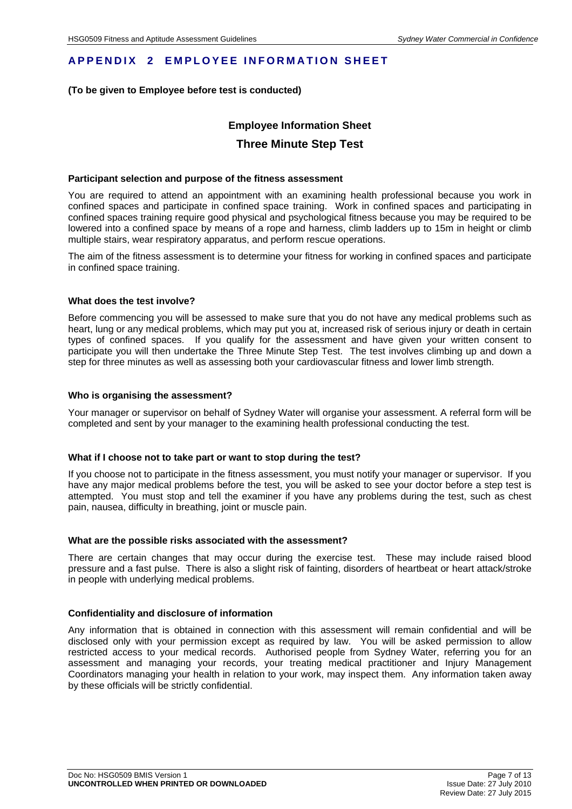### **APPENDIX 2 EMPLOYEE INFORMATION SHEET**

### **(To be given to Employee before test is conducted)**

### **Employee Information Sheet Three Minute Step Test**

#### **Participant selection and purpose of the fitness assessment**

You are required to attend an appointment with an examining health professional because you work in confined spaces and participate in confined space training. Work in confined spaces and participating in confined spaces training require good physical and psychological fitness because you may be required to be lowered into a confined space by means of a rope and harness, climb ladders up to 15m in height or climb multiple stairs, wear respiratory apparatus, and perform rescue operations.

The aim of the fitness assessment is to determine your fitness for working in confined spaces and participate in confined space training.

#### **What does the test involve?**

Before commencing you will be assessed to make sure that you do not have any medical problems such as heart, lung or any medical problems, which may put you at, increased risk of serious injury or death in certain types of confined spaces. If you qualify for the assessment and have given your written consent to participate you will then undertake the Three Minute Step Test. The test involves climbing up and down a step for three minutes as well as assessing both your cardiovascular fitness and lower limb strength.

#### **Who is organising the assessment?**

Your manager or supervisor on behalf of Sydney Water will organise your assessment. A referral form will be completed and sent by your manager to the examining health professional conducting the test.

#### **What if I choose not to take part or want to stop during the test?**

If you choose not to participate in the fitness assessment, you must notify your manager or supervisor. If you have any major medical problems before the test, you will be asked to see your doctor before a step test is attempted. You must stop and tell the examiner if you have any problems during the test, such as chest pain, nausea, difficulty in breathing, joint or muscle pain.

#### **What are the possible risks associated with the assessment?**

There are certain changes that may occur during the exercise test. These may include raised blood pressure and a fast pulse. There is also a slight risk of fainting, disorders of heartbeat or heart attack/stroke in people with underlying medical problems.

#### **Confidentiality and disclosure of information**

Any information that is obtained in connection with this assessment will remain confidential and will be disclosed only with your permission except as required by law. You will be asked permission to allow restricted access to your medical records. Authorised people from Sydney Water, referring you for an assessment and managing your records, your treating medical practitioner and Injury Management Coordinators managing your health in relation to your work, may inspect them. Any information taken away by these officials will be strictly confidential.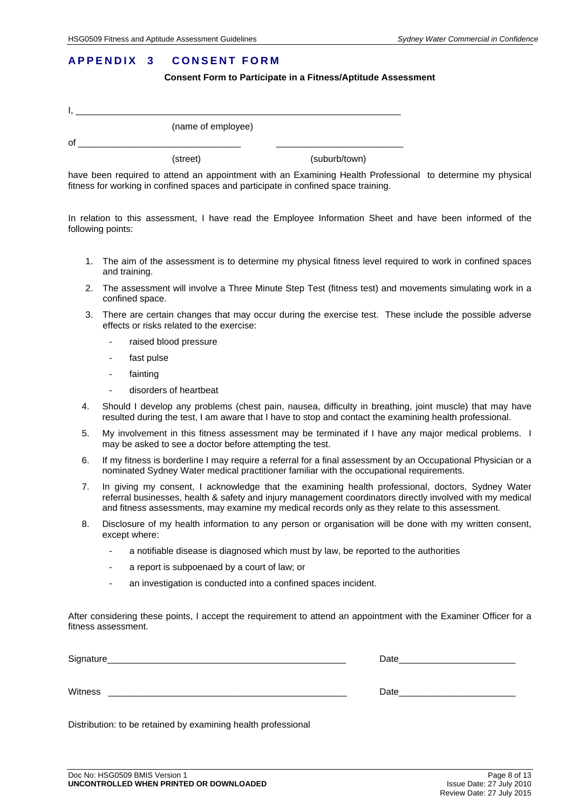### **APPENDIX 3 CONSENT FORM**

**Consent Form to Participate in a Fitness/Aptitude Assessment** 

|    | (name of employee) |               |
|----|--------------------|---------------|
| οf |                    |               |
|    | (street)           | (suburb/town) |

have been required to attend an appointment with an Examining Health Professional to determine my physical fitness for working in confined spaces and participate in confined space training.

In relation to this assessment, I have read the Employee Information Sheet and have been informed of the following points:

- 1. The aim of the assessment is to determine my physical fitness level required to work in confined spaces and training.
- 2. The assessment will involve a Three Minute Step Test (fitness test) and movements simulating work in a confined space.
- 3. There are certain changes that may occur during the exercise test. These include the possible adverse effects or risks related to the exercise:
	- raised blood pressure
	- fast pulse
	- fainting
	- disorders of heartbeat
- 4. Should I develop any problems (chest pain, nausea, difficulty in breathing, joint muscle) that may have resulted during the test, I am aware that I have to stop and contact the examining health professional.
- 5. My involvement in this fitness assessment may be terminated if I have any major medical problems. I may be asked to see a doctor before attempting the test.
- 6. If my fitness is borderline I may require a referral for a final assessment by an Occupational Physician or a nominated Sydney Water medical practitioner familiar with the occupational requirements.
- 7. In giving my consent, I acknowledge that the examining health professional, doctors, Sydney Water referral businesses, health & safety and injury management coordinators directly involved with my medical and fitness assessments, may examine my medical records only as they relate to this assessment.
- 8. Disclosure of my health information to any person or organisation will be done with my written consent, except where:
	- a notifiable disease is diagnosed which must by law, be reported to the authorities
	- a report is subpoenaed by a court of law; or
	- an investigation is conducted into a confined spaces incident.

After considering these points, I accept the requirement to attend an appointment with the Examiner Officer for a fitness assessment.

| Signature_ | Date |
|------------|------|
|            |      |
| Witness    | Date |

Distribution: to be retained by examining health professional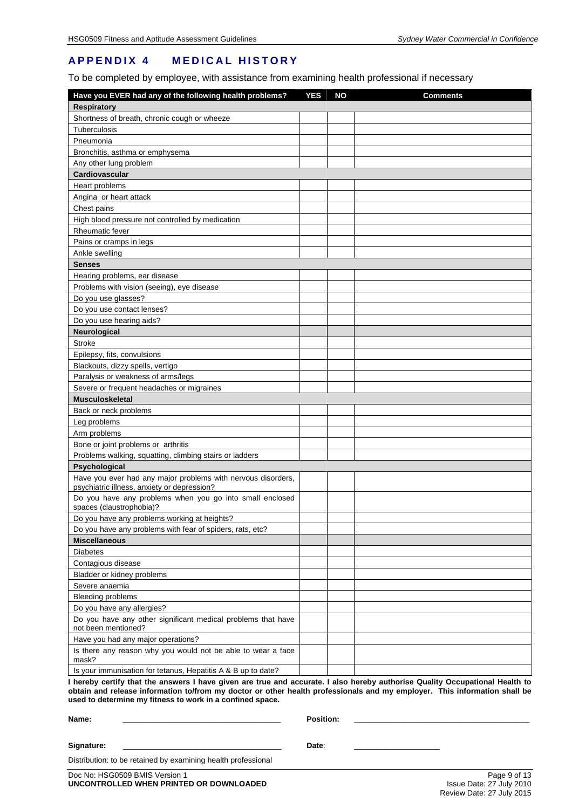### **APPENDIX 4 MEDICAL HISTORY**

To be completed by employee, with assistance from examining health professional if necessary

| Have you EVER had any of the following health problems?                                                     | <b>YES</b> | <b>NO</b> | <b>Comments</b> |
|-------------------------------------------------------------------------------------------------------------|------------|-----------|-----------------|
| <b>Respiratory</b>                                                                                          |            |           |                 |
| Shortness of breath, chronic cough or wheeze                                                                |            |           |                 |
| Tuberculosis                                                                                                |            |           |                 |
| Pneumonia                                                                                                   |            |           |                 |
| Bronchitis, asthma or emphysema                                                                             |            |           |                 |
| Any other lung problem                                                                                      |            |           |                 |
| Cardiovascular                                                                                              |            |           |                 |
| Heart problems                                                                                              |            |           |                 |
| Angina or heart attack                                                                                      |            |           |                 |
| Chest pains                                                                                                 |            |           |                 |
| High blood pressure not controlled by medication                                                            |            |           |                 |
| <b>Rheumatic fever</b>                                                                                      |            |           |                 |
| Pains or cramps in legs                                                                                     |            |           |                 |
| Ankle swelling                                                                                              |            |           |                 |
| <b>Senses</b>                                                                                               |            |           |                 |
| Hearing problems, ear disease                                                                               |            |           |                 |
| Problems with vision (seeing), eye disease                                                                  |            |           |                 |
| Do you use glasses?                                                                                         |            |           |                 |
| Do you use contact lenses?                                                                                  |            |           |                 |
| Do you use hearing aids?                                                                                    |            |           |                 |
| Neurological                                                                                                |            |           |                 |
| <b>Stroke</b>                                                                                               |            |           |                 |
| Epilepsy, fits, convulsions                                                                                 |            |           |                 |
| Blackouts, dizzy spells, vertigo                                                                            |            |           |                 |
| Paralysis or weakness of arms/legs                                                                          |            |           |                 |
| Severe or frequent headaches or migraines                                                                   |            |           |                 |
| <b>Musculoskeletal</b>                                                                                      |            |           |                 |
| Back or neck problems                                                                                       |            |           |                 |
| Leg problems                                                                                                |            |           |                 |
| Arm problems                                                                                                |            |           |                 |
| Bone or joint problems or arthritis                                                                         |            |           |                 |
| Problems walking, squatting, climbing stairs or ladders                                                     |            |           |                 |
| Psychological                                                                                               |            |           |                 |
| Have you ever had any major problems with nervous disorders,<br>psychiatric illness, anxiety or depression? |            |           |                 |
| Do you have any problems when you go into small enclosed<br>spaces (claustrophobia)?                        |            |           |                 |
| Do you have any problems working at heights?                                                                |            |           |                 |
| Do you have any problems with fear of spiders, rats, etc?                                                   |            |           |                 |
| <b>Miscellaneous</b>                                                                                        |            |           |                 |
| <b>Diabetes</b>                                                                                             |            |           |                 |
| Contagious disease                                                                                          |            |           |                 |
| Bladder or kidney problems                                                                                  |            |           |                 |
| Severe anaemia                                                                                              |            |           |                 |
| <b>Bleeding problems</b>                                                                                    |            |           |                 |
| Do you have any allergies?                                                                                  |            |           |                 |
| Do you have any other significant medical problems that have<br>not been mentioned?                         |            |           |                 |
| Have you had any major operations?                                                                          |            |           |                 |
| Is there any reason why you would not be able to wear a face<br>mask?                                       |            |           |                 |
| Is your immunisation for tetanus, Hepatitis A & B up to date?                                               |            |           |                 |
|                                                                                                             |            |           |                 |

**I hereby certify that the answers I have given are true and accurate. I also hereby authorise Quality Occupational Health to obtain and release information to/from my doctor or other health professionals and my employer. This information shall be used to determine my fitness to work in a confined space.** 

| Name:                                                         | <b>Position:</b> |  |
|---------------------------------------------------------------|------------------|--|
| Signature:                                                    | Date:            |  |
| Distribution: to be retained by examining health professional |                  |  |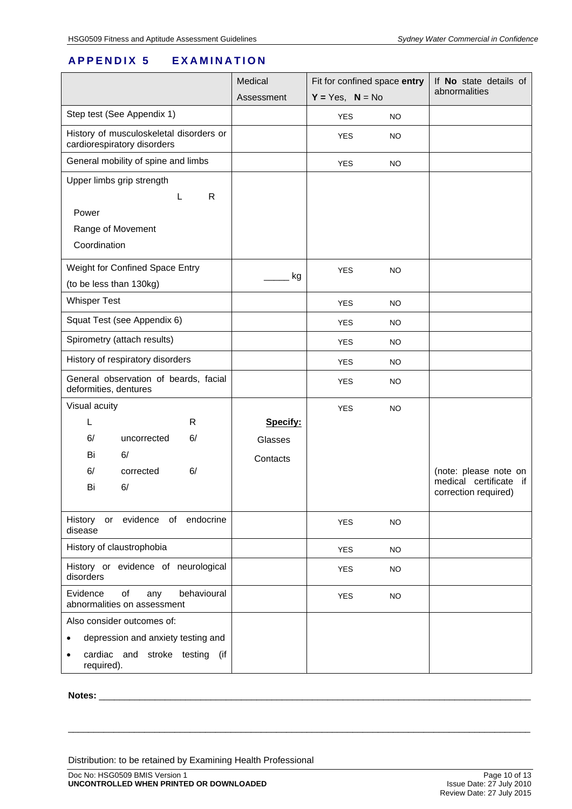### **APPENDIX 5 EXAMINATION**

|                                                                        | Medical    | Fit for confined space entry<br>$Y = Yes, N = No$ |           | If <b>No</b> state details of                       |
|------------------------------------------------------------------------|------------|---------------------------------------------------|-----------|-----------------------------------------------------|
|                                                                        | Assessment |                                                   |           | abnormalities                                       |
| Step test (See Appendix 1)                                             |            | <b>YES</b>                                        | <b>NO</b> |                                                     |
| History of musculoskeletal disorders or<br>cardiorespiratory disorders |            | <b>YES</b>                                        | <b>NO</b> |                                                     |
| General mobility of spine and limbs                                    |            | <b>YES</b>                                        | <b>NO</b> |                                                     |
| Upper limbs grip strength                                              |            |                                                   |           |                                                     |
| R                                                                      |            |                                                   |           |                                                     |
| Power                                                                  |            |                                                   |           |                                                     |
| Range of Movement                                                      |            |                                                   |           |                                                     |
| Coordination                                                           |            |                                                   |           |                                                     |
| Weight for Confined Space Entry                                        |            | <b>YES</b>                                        | NO        |                                                     |
| (to be less than 130kg)                                                | kg         |                                                   |           |                                                     |
| <b>Whisper Test</b>                                                    |            | <b>YES</b>                                        | <b>NO</b> |                                                     |
| Squat Test (see Appendix 6)                                            |            | <b>YES</b>                                        | <b>NO</b> |                                                     |
| Spirometry (attach results)                                            |            | <b>YES</b>                                        | NO.       |                                                     |
| History of respiratory disorders                                       |            | <b>YES</b>                                        | <b>NO</b> |                                                     |
| General observation of beards, facial<br>deformities, dentures         |            | <b>YES</b>                                        | NO.       |                                                     |
| Visual acuity                                                          |            | <b>YES</b>                                        | <b>NO</b> |                                                     |
| R<br>L                                                                 | Specify:   |                                                   |           |                                                     |
| 6/<br>6/<br>uncorrected                                                | Glasses    |                                                   |           |                                                     |
| Bi<br>6/                                                               | Contacts   |                                                   |           |                                                     |
| 6/<br>6/<br>corrected                                                  |            |                                                   |           | (note: please note on<br>medical certificate<br>if. |
| 6/<br>Bi                                                               |            |                                                   |           | correction required)                                |
| or evidence of endocrine<br>History                                    |            | <b>YES</b>                                        | <b>NO</b> |                                                     |
| disease                                                                |            |                                                   |           |                                                     |
| History of claustrophobia                                              |            | <b>YES</b>                                        | <b>NO</b> |                                                     |
| History or evidence of neurological<br>disorders                       |            | <b>YES</b>                                        | <b>NO</b> |                                                     |
| Evidence<br>of<br>behavioural<br>any<br>abnormalities on assessment    |            | <b>YES</b>                                        | <b>NO</b> |                                                     |
| Also consider outcomes of:                                             |            |                                                   |           |                                                     |
| depression and anxiety testing and                                     |            |                                                   |           |                                                     |
| cardiac and stroke testing (if<br>required).                           |            |                                                   |           |                                                     |

\_\_\_\_\_\_\_\_\_\_\_\_\_\_\_\_\_\_\_\_\_\_\_\_\_\_\_\_\_\_\_\_\_\_\_\_\_\_\_\_\_\_\_\_\_\_\_\_\_\_\_\_\_\_\_\_\_\_\_\_\_\_\_\_\_\_\_\_\_\_\_\_\_\_\_\_\_\_\_\_\_\_\_\_\_\_\_\_\_\_\_

#### **Notes:** \_\_\_\_\_\_\_\_\_\_\_\_\_\_\_\_\_\_\_\_\_\_\_\_\_\_\_\_\_\_\_\_\_\_\_\_\_\_\_\_\_\_\_\_\_\_\_\_\_\_\_\_\_\_\_\_\_\_\_\_\_\_\_\_\_\_\_\_\_\_\_\_\_\_\_\_\_\_\_\_\_\_\_\_\_

Distribution: to be retained by Examining Health Professional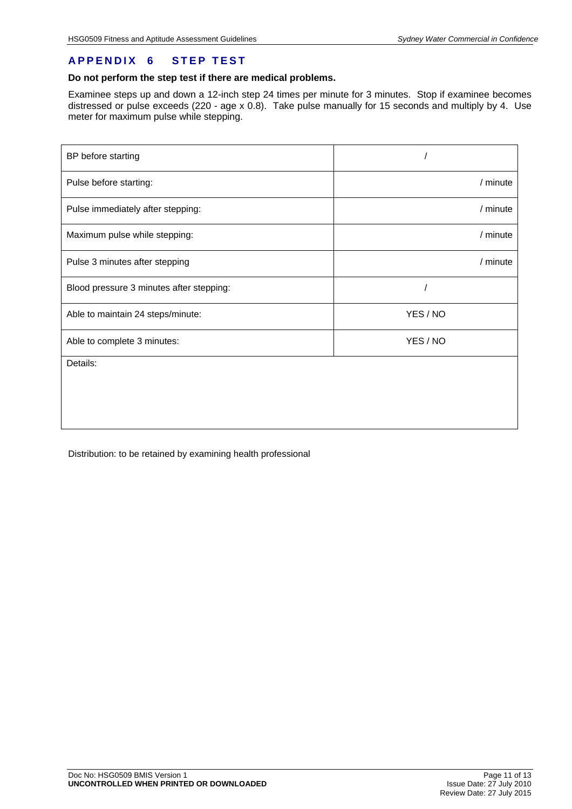### **APPENDIX 6 STEP TEST**

### **Do not perform the step test if there are medical problems.**

Examinee steps up and down a 12-inch step 24 times per minute for 3 minutes. Stop if examinee becomes distressed or pulse exceeds (220 - age x 0.8). Take pulse manually for 15 seconds and multiply by 4. Use meter for maximum pulse while stepping.

| BP before starting                       |          |  |
|------------------------------------------|----------|--|
| Pulse before starting:                   | / minute |  |
| Pulse immediately after stepping:        | / minute |  |
| Maximum pulse while stepping:            | / minute |  |
| Pulse 3 minutes after stepping           | / minute |  |
| Blood pressure 3 minutes after stepping: |          |  |
| Able to maintain 24 steps/minute:        | YES / NO |  |
| Able to complete 3 minutes:              | YES / NO |  |
| Details:                                 |          |  |
|                                          |          |  |
|                                          |          |  |

Distribution: to be retained by examining health professional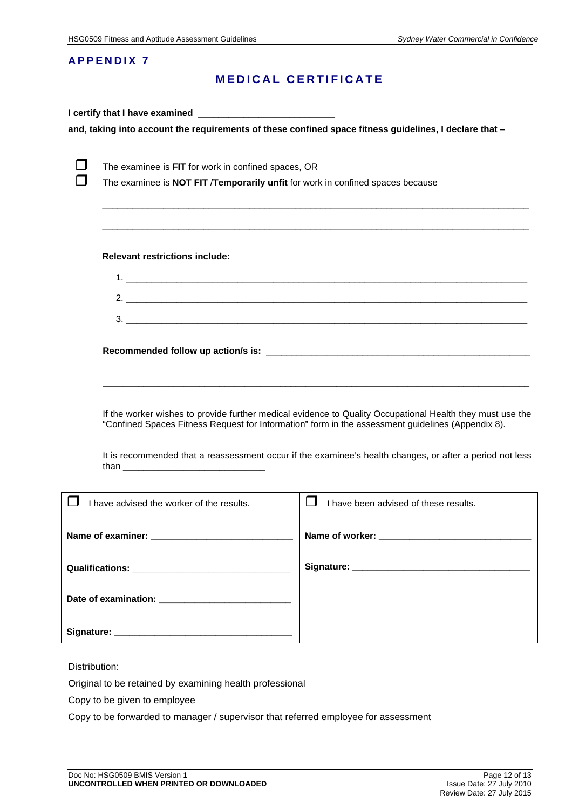### **APPENDIX 7**

### **MEDICAL CERTIFICATE**

|                                                                                                                                                                                                                                                                                                                            |                                                                                                                                       | and, taking into account the requirements of these confined space fitness guidelines, I declare that - |  |
|----------------------------------------------------------------------------------------------------------------------------------------------------------------------------------------------------------------------------------------------------------------------------------------------------------------------------|---------------------------------------------------------------------------------------------------------------------------------------|--------------------------------------------------------------------------------------------------------|--|
|                                                                                                                                                                                                                                                                                                                            | The examinee is FIT for work in confined spaces, OR<br>The examinee is NOT FIT /Temporarily unfit for work in confined spaces because |                                                                                                        |  |
|                                                                                                                                                                                                                                                                                                                            | <b>Relevant restrictions include:</b>                                                                                                 | ,我们也不会有什么。""我们的人,我们也不会有什么?""我们的人,我们也不会有什么?""我们的人,我们也不会有什么?""我们的人,我们也不会有什么?""我们的人                       |  |
|                                                                                                                                                                                                                                                                                                                            |                                                                                                                                       |                                                                                                        |  |
|                                                                                                                                                                                                                                                                                                                            |                                                                                                                                       |                                                                                                        |  |
|                                                                                                                                                                                                                                                                                                                            |                                                                                                                                       |                                                                                                        |  |
|                                                                                                                                                                                                                                                                                                                            |                                                                                                                                       |                                                                                                        |  |
| If the worker wishes to provide further medical evidence to Quality Occupational Health they must use the<br>"Confined Spaces Fitness Request for Information" form in the assessment guidelines (Appendix 8).<br>It is recommended that a reassessment occur if the examinee's health changes, or after a period not less |                                                                                                                                       |                                                                                                        |  |
|                                                                                                                                                                                                                                                                                                                            | I have advised the worker of the results.                                                                                             | $\perp$<br>I have been advised of these results.                                                       |  |
|                                                                                                                                                                                                                                                                                                                            | Name of examiner:                                                                                                                     | Name of worker:                                                                                        |  |
|                                                                                                                                                                                                                                                                                                                            |                                                                                                                                       |                                                                                                        |  |
|                                                                                                                                                                                                                                                                                                                            |                                                                                                                                       |                                                                                                        |  |
|                                                                                                                                                                                                                                                                                                                            |                                                                                                                                       |                                                                                                        |  |
|                                                                                                                                                                                                                                                                                                                            |                                                                                                                                       |                                                                                                        |  |

Distribution:

Original to be retained by examining health professional

Copy to be given to employee

Copy to be forwarded to manager / supervisor that referred employee for assessment